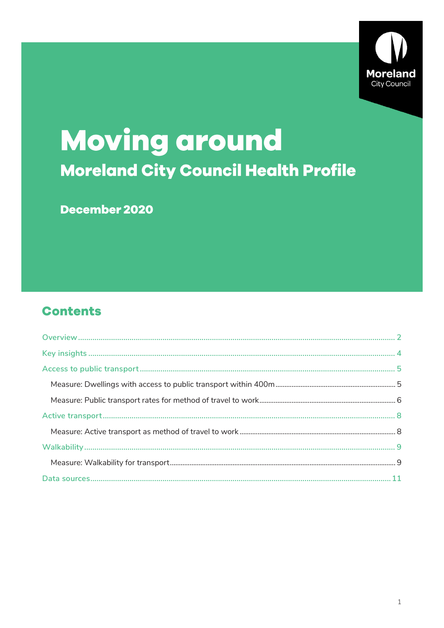

# **Moving around Moreland City Council Health Profile**

December 2020

### **Contents**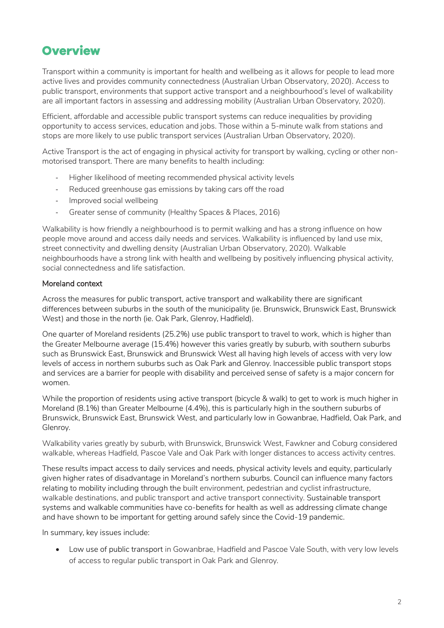### <span id="page-1-0"></span>**Overview**

Transport within a community is important for health and wellbeing as it allows for people to lead more active lives and provides community connectedness (Australian Urban Observatory, 2020). Access to public transport, environments that support active transport and a neighbourhood's level of walkability are all important factors in assessing and addressing mobility (Australian Urban Observatory, 2020).

Efficient, affordable and accessible public transport systems can reduce inequalities by providing opportunity to access services, education and jobs. Those within a 5-minute walk from stations and stops are more likely to use public transport services (Australian Urban Observatory, 2020).

Active Transport is the act of engaging in physical activity for transport by walking, cycling or other nonmotorised transport. There are many benefits to health including:

- Higher likelihood of meeting recommended physical activity levels
- Reduced greenhouse gas emissions by taking cars off the road
- Improved social wellbeing
- Greater sense of community (Healthy Spaces & Places, 2016)

Walkability is how friendly a neighbourhood is to permit walking and has a strong influence on how people move around and access daily needs and services. Walkability is influenced by land use mix, street connectivity and dwelling density (Australian Urban Observatory, 2020). Walkable neighbourhoods have a strong link with health and wellbeing by positively influencing physical activity, social connectedness and life satisfaction.

#### Moreland context

Across the measures for public transport, active transport and walkability there are significant differences between suburbs in the south of the municipality (ie. Brunswick, Brunswick East, Brunswick West) and those in the north (ie. Oak Park, Glenroy, Hadfield).

One quarter of Moreland residents (25.2%) use public transport to travel to work, which is higher than the Greater Melbourne average (15.4%) however this varies greatly by suburb, with southern suburbs such as Brunswick East, Brunswick and Brunswick West all having high levels of access with very low levels of access in northern suburbs such as Oak Park and Glenroy. Inaccessible public transport stops and services are a barrier for people with disability and perceived sense of safety is a major concern for women.

While the proportion of residents using active transport (bicycle & walk) to get to work is much higher in Moreland (8.1%) than Greater Melbourne (4.4%), this is particularly high in the southern suburbs of Brunswick, Brunswick East, Brunswick West, and particularly low in Gowanbrae, Hadfield, Oak Park, and Glenroy.

Walkability varies greatly by suburb, with Brunswick, Brunswick West, Fawkner and Coburg considered walkable, whereas Hadfield, Pascoe Vale and Oak Park with longer distances to access activity centres.

These results impact access to daily services and needs, physical activity levels and equity, particularly given higher rates of disadvantage in Moreland's northern suburbs. Council can influence many factors relating to mobility including through the built environment, pedestrian and cyclist infrastructure, walkable destinations, and public transport and active transport connectivity. Sustainable transport systems and walkable communities have co-benefits for health as well as addressing climate change and have shown to be important for getting around safely since the Covid-19 pandemic.

In summary, key issues include:

• Low use of public transport in Gowanbrae, Hadfield and Pascoe Vale South, with very low levels of access to regular public transport in Oak Park and Glenroy.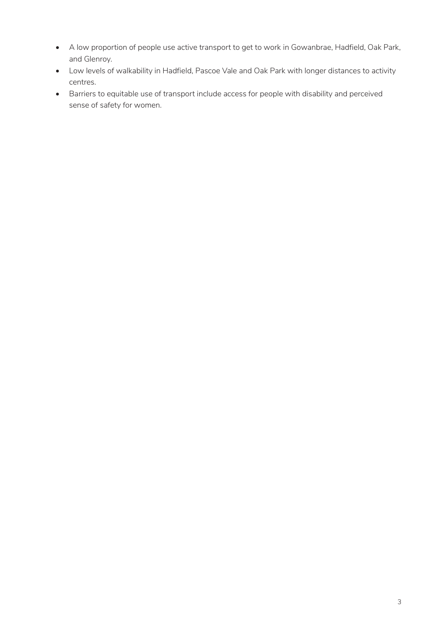- A low proportion of people use active transport to get to work in Gowanbrae, Hadfield, Oak Park, and Glenroy.
- Low levels of walkability in Hadfield, Pascoe Vale and Oak Park with longer distances to activity centres.
- Barriers to equitable use of transport include access for people with disability and perceived sense of safety for women.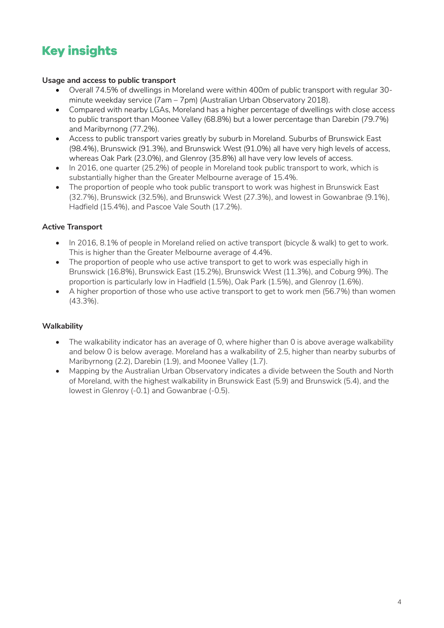# <span id="page-3-0"></span>**Key insights**

#### **Usage and access to public transport**

- Overall 74.5% of dwellings in Moreland were within 400m of public transport with regular 30 minute weekday service (7am – 7pm) (Australian Urban Observatory 2018).
- Compared with nearby LGAs, Moreland has a higher percentage of dwellings with close access to public transport than Moonee Valley (68.8%) but a lower percentage than Darebin (79.7%) and Maribyrnong (77.2%).
- Access to public transport varies greatly by suburb in Moreland. Suburbs of Brunswick East (98.4%), Brunswick (91.3%), and Brunswick West (91.0%) all have very high levels of access, whereas Oak Park (23.0%), and Glenroy (35.8%) all have very low levels of access.
- In 2016, one quarter (25.2%) of people in Moreland took public transport to work, which is substantially higher than the Greater Melbourne average of 15.4%.
- The proportion of people who took public transport to work was highest in Brunswick East (32.7%), Brunswick (32.5%), and Brunswick West (27.3%), and lowest in Gowanbrae (9.1%), Hadfield (15.4%), and Pascoe Vale South (17.2%).

#### **Active Transport**

- In 2016, 8.1% of people in Moreland relied on active transport (bicycle & walk) to get to work. This is higher than the Greater Melbourne average of 4.4%.
- The proportion of people who use active transport to get to work was especially high in Brunswick (16.8%), Brunswick East (15.2%), Brunswick West (11.3%), and Coburg 9%). The proportion is particularly low in Hadfield (1.5%), Oak Park (1.5%), and Glenroy (1.6%).
- A higher proportion of those who use active transport to get to work men (56.7%) than women (43.3%).

#### **Walkability**

- The walkability indicator has an average of 0, where higher than 0 is above average walkability and below 0 is below average. Moreland has a walkability of 2.5, higher than nearby suburbs of Maribyrnong (2.2), Darebin (1.9), and Moonee Valley (1.7).
- Mapping by the Australian Urban Observatory indicates a divide between the South and North of Moreland, with the highest walkability in Brunswick East (5.9) and Brunswick (5.4), and the lowest in Glenroy (-0.1) and Gowanbrae (-0.5).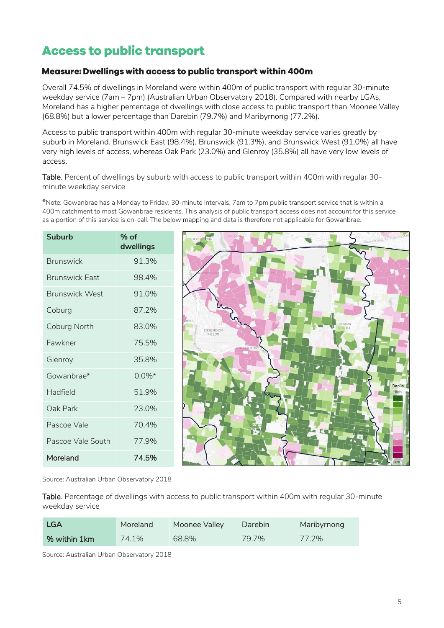### <span id="page-4-0"></span>**Access to public transport**

#### <span id="page-4-1"></span>Measure: Dwellings with access to public transport within 400m

Overall 74.5% of dwellings in Moreland were within 400m of public transport with regular 30-minute weekday service (7am – 7pm) (Australian Urban Observatory 2018). Compared with nearby LGAs, Moreland has a higher percentage of dwellings with close access to public transport than Moonee Valley (68.8%) but a lower percentage than Darebin (79.7%) and Maribyrnong (77.2%).

Access to public transport within 400m with regular 30-minute weekday service varies greatly by suburb in Moreland. Brunswick East (98.4%), Brunswick (91.3%), and Brunswick West (91.0%) all have very high levels of access, whereas Oak Park (23.0%) and Glenroy (35.8%) all have very low levels of access.

Table. Percent of dwellings by suburb with access to public transport within 400m with regular 30 minute weekday service

\*Note: Gowanbrae has a Monday to Friday, 30-minute intervals, 7am to 7pm public transport service that is within a 400m catchment to most Gowanbrae residents. This analysis of public transport access does not account for this service as a portion of this service is on-call. The below mapping and data is therefore not applicable for Gowanbrae.

| <b>Suburb</b>         | $%$ of<br>dwellings |
|-----------------------|---------------------|
| <b>Brunswick</b>      | 91.3%               |
| <b>Brunswick East</b> | 984%                |
| <b>Brunswick West</b> | 91.0%               |
| Coburg                | 87.2%               |
| Coburg North          | 83.0%               |
| Fawkner               | 755%                |
| Glenroy               | 35.8%               |
| Gowanbrae*            | $0.0\%$ *           |
| Hadfield              | 51.9%               |
| Oak Park              | 23.0%               |
| Pascoe Vale           | 70.4%               |
| Pascoe Vale South     | 779%                |
| Moreland              | 74.5%               |



Source: Australian Urban Observatory 2018

Table. Percentage of dwellings with access to public transport within 400m with regular 30-minute weekday service

| LGA          | Moreland | Moonee Valley | Darebin | Maribyrnong |
|--------------|----------|---------------|---------|-------------|
| % within 1km | 74.1%    | 68.8%         | 79.7%   | 77.2%       |

Source: Australian Urban Observatory 2018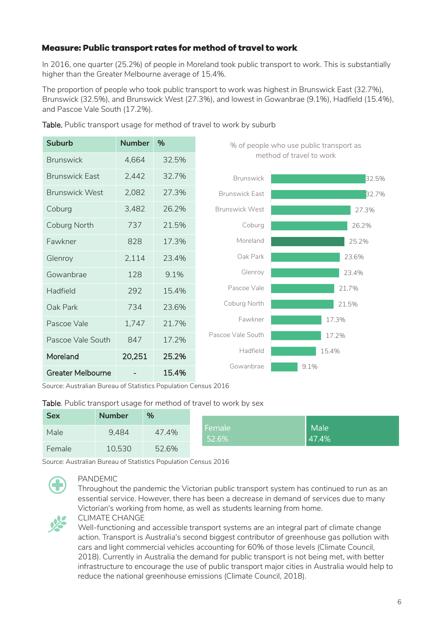#### <span id="page-5-0"></span>Measure: Public transport rates for method of travel to work

In 2016, one quarter (25.2%) of people in Moreland took public transport to work. This is substantially higher than the Greater Melbourne average of 15.4%.

The proportion of people who took public transport to work was highest in Brunswick East (32.7%), Brunswick (32.5%), and Brunswick West (27.3%), and lowest in Gowanbrae (9.1%), Hadfield (15.4%), and Pascoe Vale South (17.2%).

| <b>Suburb</b>            | <b>Number</b> | %     | % of people who use public transport as |       |  |
|--------------------------|---------------|-------|-----------------------------------------|-------|--|
| <b>Brunswick</b>         | 4,664         | 32.5% | method of travel to work                |       |  |
| <b>Brunswick East</b>    | 2,442         | 32.7% | <b>Brunswick</b>                        | 32.5% |  |
| <b>Brunswick West</b>    | 2,082         | 27.3% | <b>Brunswick East</b>                   | 32.7% |  |
| Coburg                   | 3,482         | 26.2% | <b>Brunswick West</b>                   | 27.3% |  |
| Coburg North             | 737           | 21.5% | Coburg                                  | 26.2% |  |
| Fawkner                  | 828           | 17.3% | Moreland                                | 25.2% |  |
| Glenroy                  | 2,114         | 23.4% | Oak Park                                | 23.6% |  |
| Gowanbrae                | 128           | 9.1%  | Glenroy                                 | 23.4% |  |
| Hadfield                 | 292           | 15.4% | Pascoe Vale                             | 21.7% |  |
| Oak Park                 | 734           | 23.6% | Coburg North                            | 21.5% |  |
| Pascoe Vale              | 1,747         | 21.7% | Fawkner                                 | 17.3% |  |
| Pascoe Vale South        | 847           | 17.2% | Pascoe Vale South                       | 17.2% |  |
| Moreland                 | 20,251        | 25.2% | Hadfield                                | 15.4% |  |
| <b>Greater Melbourne</b> |               | 15.4% | Gowanbrae                               | 9.1%  |  |

Table. Public transport usage for method of travel to work by suburb

Source: Australian Bureau of Statistics Population Census 2016

#### Table. Public transport usage for method of travel to work by sex

| <b>Sex</b> | <b>Number</b> | %     |                 |               |  |
|------------|---------------|-------|-----------------|---------------|--|
| Male       | 9.484         | 47.4% | Female<br>52.6% | Male<br>47.4% |  |
| Female     | 10,530        | 52.6% |                 |               |  |

Source: Australian Bureau of Statistics Population Census 2016



#### PANDEMIC

Throughout the pandemic the Victorian public transport system has continued to run as an essential service. However, there has been a decrease in demand of services due to many Victorian's working from home, as well as students learning from home.



#### CLIMATE CHANGE

Well-functioning and accessible transport systems are an integral part of climate change action. Transport is Australia's second biggest contributor of greenhouse gas pollution with cars and light commercial vehicles accounting for 60% of those levels (Climate Council, 2018). Currently in Australia the demand for public transport is not being met, with better infrastructure to encourage the use of public transport major cities in Australia would help to reduce the national greenhouse emissions (Climate Council, 2018).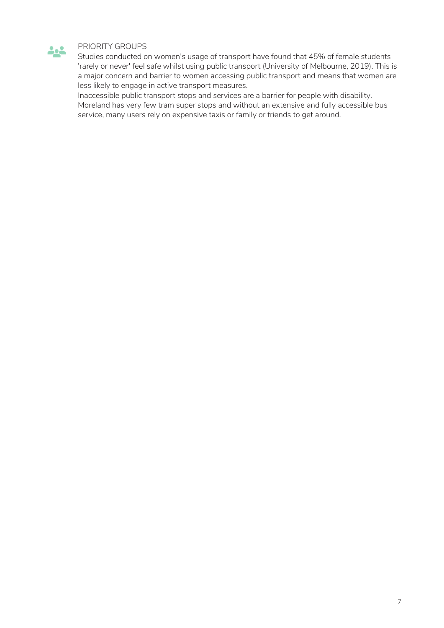

#### PRIORITY GROUPS

Studies conducted on women's usage of transport have found that 45% of female students 'rarely or never' feel safe whilst using public transport (University of Melbourne, 2019). This is a major concern and barrier to women accessing public transport and means that women are less likely to engage in active transport measures.

Inaccessible public transport stops and services are a barrier for people with disability. Moreland has very few tram super stops and without an extensive and fully accessible bus service, many users rely on expensive taxis or family or friends to get around.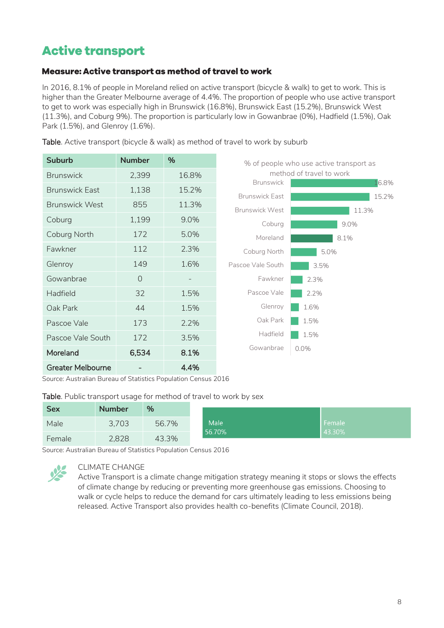## <span id="page-7-0"></span>**Active transport**

#### <span id="page-7-1"></span>Measure: Active transport as method of travel to work

In 2016, 8.1% of people in Moreland relied on active transport (bicycle & walk) to get to work. This is higher than the Greater Melbourne average of 4.4%. The proportion of people who use active transport to get to work was especially high in Brunswick (16.8%), Brunswick East (15.2%), Brunswick West (11.3%), and Coburg 9%). The proportion is particularly low in Gowanbrae (0%), Hadfield (1.5%), Oak Park (1.5%), and Glenroy (1.6%).

| <b>Suburb</b>            | <b>Number</b> | %                 |                                                | % of people who use active transport as |
|--------------------------|---------------|-------------------|------------------------------------------------|-----------------------------------------|
| <b>Brunswick</b>         | 2,399         | 16.8%             |                                                | method of travel to work                |
| <b>Brunswick East</b>    | 1,138         | 15.2%             | <b>Brunswick</b>                               | 16.8%                                   |
| <b>Brunswick West</b>    | 855           | 11.3%             | <b>Brunswick East</b><br><b>Brunswick West</b> | 15.2%                                   |
| Coburg                   | 1,199         | 9.0%              | Coburg                                         | 11.3%<br>9.0%                           |
| Coburg North             | 172           | 5.0%              | Moreland                                       | 8.1%                                    |
| Fawkner                  | 112           | 2.3%              | Coburg North                                   | 5.0%                                    |
| Glenroy                  | 149           | 1.6%              | Pascoe Vale South                              | 3.5%                                    |
| Gowanbrae                | $\bigcap$     | $\qquad \qquad -$ | Fawkner                                        | 2.3%                                    |
| Hadfield                 | 32            | 1.5%              | Pascoe Vale                                    | 2.2%                                    |
| Oak Park                 | 44            | 1.5%              | Glenroy                                        | 1.6%                                    |
| Pascoe Vale              | 173           | 2.2%              | Oak Park                                       | 1.5%                                    |
| Pascoe Vale South        | 172           | 3.5%              | Hadfield                                       | 1.5%                                    |
| Moreland                 | 6,534         | 8.1%              | Gowanbrae                                      | $0.0\%$                                 |
| <b>Greater Melbourne</b> |               | 4.4%              |                                                |                                         |

Table. Active transport (bicycle & walk) as method of travel to work by suburb

Source: Australian Bureau of Statistics Population Census 2016

#### Table. Public transport usage for method of travel to work by sex

| <b>Sex</b> | <b>Number</b> | %     |        |                            |
|------------|---------------|-------|--------|----------------------------|
| Male       | 3,703         | 56.7% | Male   | Female<br>$\sqrt{43.30\%}$ |
| Female     | 2,828         | 43.3% | 56.70% |                            |

Source: Australian Bureau of Statistics Population Census 2016



#### CLIMATE CHANGE

Active Transport is a climate change mitigation strategy meaning it stops or slows the effects of climate change by reducing or preventing more greenhouse gas emissions. Choosing to walk or cycle helps to reduce the demand for cars ultimately leading to less emissions being released. Active Transport also provides health co-benefits (Climate Council, 2018).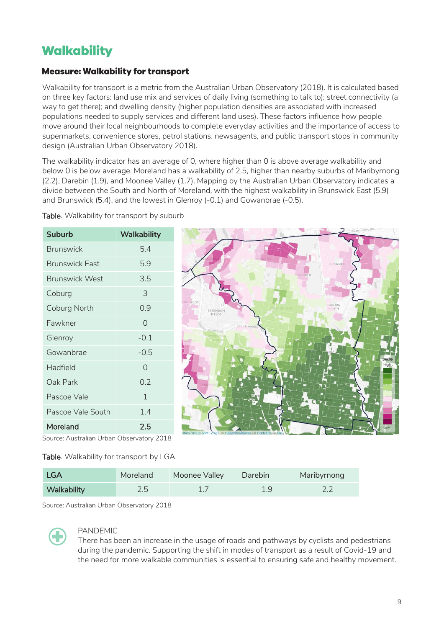### <span id="page-8-0"></span>Walkability

#### <span id="page-8-1"></span>**Measure: Walkability for transport**

Walkability for transport is a metric from the Australian Urban Observatory (2018). It is calculated based on three key factors: land use mix and services of daily living (something to talk to); street connectivity (a way to get there); and dwelling density (higher population densities are associated with increased populations needed to supply services and different land uses). These factors influence how people move around their local neighbourhoods to complete everyday activities and the importance of access to supermarkets, convenience stores, petrol stations, newsagents, and public transport stops in community design (Australian Urban Observatory 2018).

The walkability indicator has an average of 0, where higher than 0 is above average walkability and below 0 is below average. Moreland has a walkability of 2.5, higher than nearby suburbs of Maribyrnong (2.2), Darebin (1.9), and Moonee Valley (1.7). Mapping by the Australian Urban Observatory indicates a divide between the South and North of Moreland, with the highest walkability in Brunswick East (5.9) and Brunswick (5.4), and the lowest in Glenroy (-0.1) and Gowanbrae (-0.5).

| <b>Suburb</b>         | <b>Walkability</b> |
|-----------------------|--------------------|
| <b>Brunswick</b>      | 5.4                |
| <b>Brunswick Fast</b> | 5.9                |
| <b>Brunswick West</b> | 3.5                |
| Coburg                | 3                  |
| Coburg North          | 0.9                |
| Fawkner               | 0                  |
| Glenroy               | $-0.1$             |
| Gowanbrae             | $-0.5$             |
| Hadfield              | 0                  |
| Oak Park              | 0.2                |
| Pascoe Vale           | 1                  |
| Pascoe Vale South     | 1.4                |
| Moreland              | 2.5                |

Table. Walkability for transport by suburb



Source: Australian Urban Observatory 2018

#### Table. Walkability for transport by LGA

| <b>LGA</b>  | Moreland | Moonee Valley | Darebin | Maribyrnong |
|-------------|----------|---------------|---------|-------------|
| Walkability | 2.5      |               |         |             |

Source: Australian Urban Observatory 2018



#### PANDEMIC

There has been an increase in the usage of roads and pathways by cyclists and pedestrians during the pandemic. Supporting the shift in modes of transport as a result of Covid-19 and the need for more walkable communities is essential to ensuring safe and healthy movement.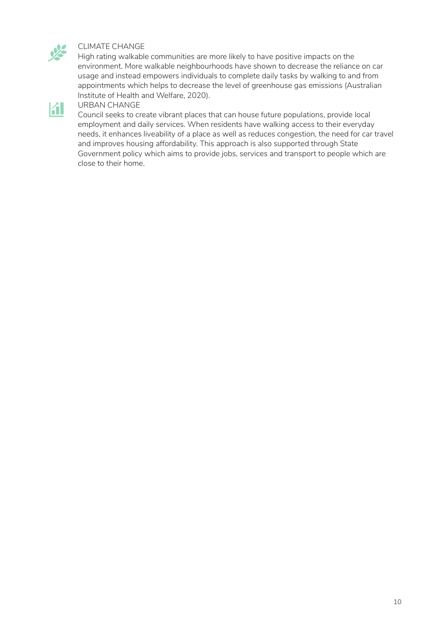

#### CLIMATE CHANGE

High rating walkable communities are more likely to have positive impacts on the environment. More walkable neighbourhoods have shown to decrease the reliance on car usage and instead empowers individuals to complete daily tasks by walking to and from appointments which helps to decrease the level of greenhouse gas emissions (Australian Institute of Health and Welfare, 2020).



#### URBAN CHANGE

Council seeks to create vibrant places that can house future populations, provide local employment and daily services. When residents have walking access to their everyday needs, it enhances liveability of a place as well as reduces congestion, the need for car travel and improves housing affordability. This approach is also supported through State Government policy which aims to provide jobs, services and transport to people which are close to their home.